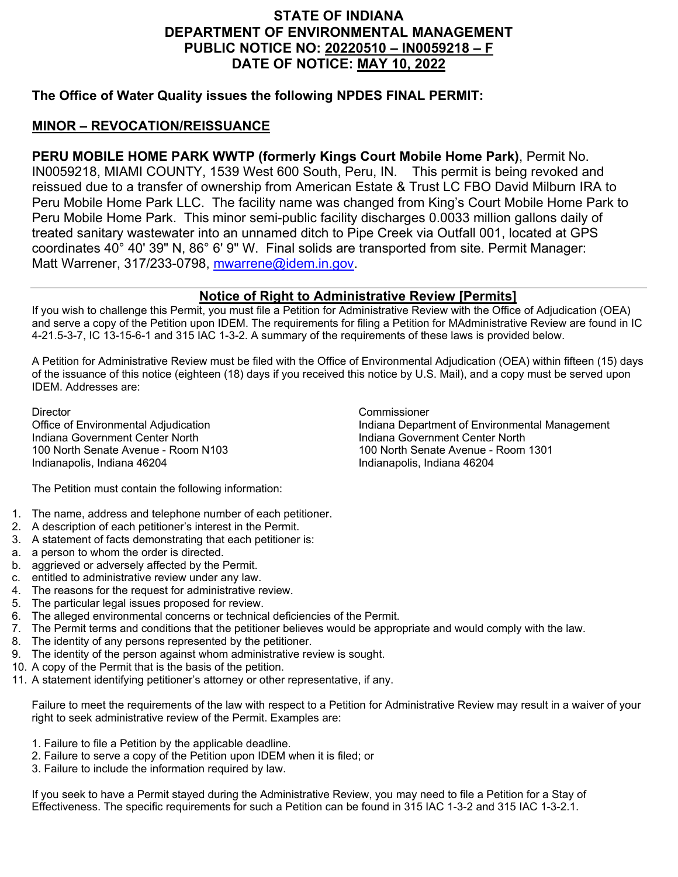## **STATE OF INDIANA DEPARTMENT OF ENVIRONMENTAL MANAGEMENT PUBLIC NOTICE NO: 20220510 – IN0059218 – F DATE OF NOTICE: MAY 10, 2022**

## **The Office of Water Quality issues the following NPDES FINAL PERMIT:**

## **MINOR – REVOCATION/REISSUANCE**

**PERU MOBILE HOME PARK WWTP (formerly Kings Court Mobile Home Park)**, Permit No. IN0059218, MIAMI COUNTY, 1539 West 600 South, Peru, IN. This permit is being revoked and reissued due to a transfer of ownership from American Estate & Trust LC FBO David Milburn IRA to Peru Mobile Home Park LLC. The facility name was changed from King's Court Mobile Home Park to Peru Mobile Home Park. This minor semi-public facility discharges 0.0033 million gallons daily of treated sanitary wastewater into an unnamed ditch to Pipe Creek via Outfall 001, located at GPS coordinates 40° 40' 39" N, 86° 6' 9" W. Final solids are transported from site. Permit Manager: Matt Warrener, 317/233-0798, [mwarrene@idem.in.gov.](mailto:mwarrene@idem.in.gov)

## **Notice of Right to Administrative Review [Permits]**

If you wish to challenge this Permit, you must file a Petition for Administrative Review with the Office of Adjudication (OEA) and serve a copy of the Petition upon IDEM. The requirements for filing a Petition for MAdministrative Review are found in IC 4-21.5-3-7, IC 13-15-6-1 and 315 IAC 1-3-2. A summary of the requirements of these laws is provided below.

A Petition for Administrative Review must be filed with the Office of Environmental Adjudication (OEA) within fifteen (15) days of the issuance of this notice (eighteen (18) days if you received this notice by U.S. Mail), and a copy must be served upon IDEM. Addresses are:

Director Commissioner Indiana Government Center North 100 North Senate Avenue - Room N103 100 North Senate Avenue - Room 1301 Indianapolis, Indiana 46204

Indiana Department of Environmental Management<br>Indiana Government Center North

The Petition must contain the following information:

- 1. The name, address and telephone number of each petitioner.
- 2. A description of each petitioner's interest in the Permit.
- 3. A statement of facts demonstrating that each petitioner is:
- a. a person to whom the order is directed.
- b. aggrieved or adversely affected by the Permit.
- c. entitled to administrative review under any law.
- 4. The reasons for the request for administrative review.
- 5. The particular legal issues proposed for review.
- 6. The alleged environmental concerns or technical deficiencies of the Permit.
- 7. The Permit terms and conditions that the petitioner believes would be appropriate and would comply with the law.
- 8. The identity of any persons represented by the petitioner.
- 9. The identity of the person against whom administrative review is sought.
- 10. A copy of the Permit that is the basis of the petition.
- 11. A statement identifying petitioner's attorney or other representative, if any.

Failure to meet the requirements of the law with respect to a Petition for Administrative Review may result in a waiver of your right to seek administrative review of the Permit. Examples are:

- 1. Failure to file a Petition by the applicable deadline.
- 2. Failure to serve a copy of the Petition upon IDEM when it is filed; or
- 3. Failure to include the information required by law.

If you seek to have a Permit stayed during the Administrative Review, you may need to file a Petition for a Stay of Effectiveness. The specific requirements for such a Petition can be found in 315 IAC 1-3-2 and 315 IAC 1-3-2.1.